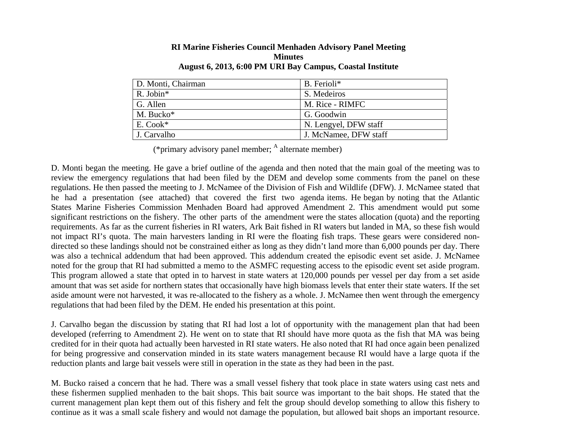| B. Ferioli*           |
|-----------------------|
| S. Medeiros           |
| M. Rice - RIMFC       |
| G. Goodwin            |
| N. Lengyel, DFW staff |
| J. McNamee, DFW staff |
|                       |

#### **RI Marine Fisheries Council Menhaden Advisory Panel Meeting Minutes August 6, 2013, 6:00 PM URI Bay Campus, Coastal Institute**

(\*primary advisory panel member;  $<sup>A</sup>$  alternate member)</sup>

D. Monti began the meeting. He gave a brief outline of the agenda and then noted that the main goal of the meeting was to review the emergency regulations that had been filed by the DEM and develop some comments from the panel on these regulations. He then passed the meeting to J. McNamee of the Division of Fish and Wildlife (DFW). J. McNamee stated that he had a presentation (see attached) that covered the first two agenda items. He began by noting that the Atlantic States Marine Fisheries Commission Menhaden Board had approved Amendment 2. This amendment would put some significant restrictions on the fishery. The other parts of the amendment were the states allocation (quota) and the reporting requirements. As far as the current fisheries in RI waters, Ark Bait fished in RI waters but landed in MA, so these fish would not impact RI's quota. The main harvesters landing in RI were the floating fish traps. These gears were considered nondirected so these landings should not be constrained either as long as they didn't land more than 6,000 pounds per day. There was also a technical addendum that had been approved. This addendum created the episodic event set aside. J. McNamee noted for the group that RI had submitted a memo to the ASMFC requesting access to the episodic event set aside program. This program allowed a state that opted in to harvest in state waters at 120,000 pounds per vessel per day from a set aside amount that was set aside for northern states that occasionally have high biomass levels that enter their state waters. If the set aside amount were not harvested, it was re-allocated to the fishery as a whole. J. McNamee then went through the emergency regulations that had been filed by the DEM. He ended his presentation at this point.

J. Carvalho began the discussion by stating that RI had lost a lot of opportunity with the management plan that had been developed (referring to Amendment 2). He went on to state that RI should have more quota as the fish that MA was being credited for in their quota had actually been harvested in RI state waters. He also noted that RI had once again been penalized for being progressive and conservation minded in its state waters management because RI would have a large quota if the reduction plants and large bait vessels were still in operation in the state as they had been in the past.

M. Bucko raised a concern that he had. There was a small vessel fishery that took place in state waters using cast nets and these fishermen supplied menhaden to the bait shops. This bait source was important to the bait shops. He stated that the current management plan kept them out of this fishery and felt the group should develop something to allow this fishery to continue as it was a small scale fishery and would not damage the population, but allowed bait shops an important resource.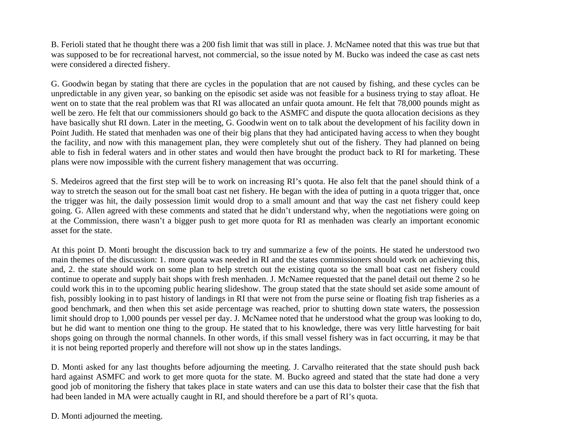B. Ferioli stated that he thought there was a 200 fish limit that was still in place. J. McNamee noted that this was true but that was supposed to be for recreational harvest, not commercial, so the issue noted by M. Bucko was indeed the case as cast nets were considered a directed fishery.

G. Goodwin began by stating that there are cycles in the population that are not caused by fishing, and these cycles can be unpredictable in any given year, so banking on the episodic set aside was not feasible for a business trying to stay afloat. He went on to state that the real problem was that RI was allocated an unfair quota amount. He felt that 78,000 pounds might as well be zero. He felt that our commissioners should go back to the ASMFC and dispute the quota allocation decisions as they have basically shut RI down. Later in the meeting, G. Goodwin went on to talk about the development of his facility down in Point Judith. He stated that menhaden was one of their big plans that they had anticipated having access to when they bought the facility, and now with this management plan, they were completely shut out of the fishery. They had planned on being able to fish in federal waters and in other states and would then have brought the product back to RI for marketing. These plans were now impossible with the current fishery management that was occurring.

S. Medeiros agreed that the first step will be to work on increasing RI's quota. He also felt that the panel should think of a way to stretch the season out for the small boat cast net fishery. He began with the idea of putting in a quota trigger that, once the trigger was hit, the daily possession limit would drop to a small amount and that way the cast net fishery could keep going. G. Allen agreed with these comments and stated that he didn't understand why, when the negotiations were going on at the Commission, there wasn't a bigger push to get more quota for RI as menhaden was clearly an important economic asset for the state.

At this point D. Monti brought the discussion back to try and summarize a few of the points. He stated he understood two main themes of the discussion: 1. more quota was needed in RI and the states commissioners should work on achieving this, and, 2. the state should work on some plan to help stretch out the existing quota so the small boat cast net fishery could continue to operate and supply bait shops with fresh menhaden. J. McNamee requested that the panel detail out theme 2 so he could work this in to the upcoming public hearing slideshow. The group stated that the state should set aside some amount of fish, possibly looking in to past history of landings in RI that were not from the purse seine or floating fish trap fisheries as a good benchmark, and then when this set aside percentage was reached, prior to shutting down state waters, the possession limit should drop to 1,000 pounds per vessel per day. J. McNamee noted that he understood what the group was looking to do, but he did want to mention one thing to the group. He stated that to his knowledge, there was very little harvesting for bait shops going on through the normal channels. In other words, if this small vessel fishery was in fact occurring, it may be that it is not being reported properly and therefore will not show up in the states landings.

D. Monti asked for any last thoughts before adjourning the meeting. J. Carvalho reiterated that the state should push back hard against ASMFC and work to get more quota for the state. M. Bucko agreed and stated that the state had done a very good job of monitoring the fishery that takes place in state waters and can use this data to bolster their case that the fish that had been landed in MA were actually caught in RI, and should therefore be a part of RI's quota.

D. Monti adjourned the meeting.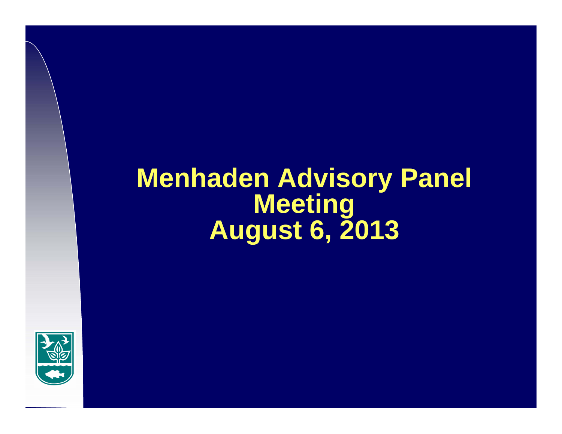# **Menhaden Advisory Panel Meeting August 6, 2013**

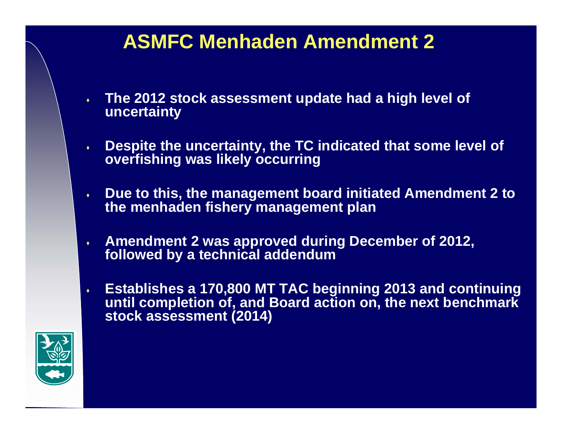- $\bullet$  **The 2012 stock assessment update had a high level of uncertainty**
- $\blacklozenge$  **Despite the uncertainty, the TC indicated that some level of overfishing was likely occurring**
- $\bullet$  **Due to this, the management board initiated Amendment 2 to the menhaden fishery management plan**
- $\blacklozenge$  **Amendment 2 was approved during December of 2012, followed by a technical addendum**
- $\bullet$  **Establishes a 170,800 MT TAC beginning 2013 and continuing until completion of, and Board action on, the next benchmark stock assessment (2014)**

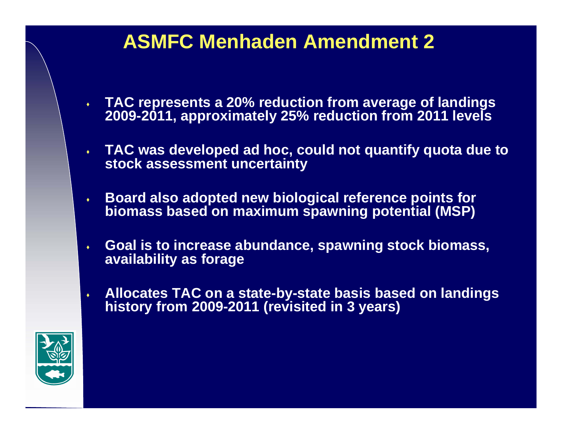- $\bullet$  **TAC represents a 20% reduction from average of landings 2009-2011, approximately 25% reduction from 2011 levels**
- $\bullet$  **TAC was developed ad hoc, could not quantify quota due to stock assessment uncertainty**
- $\ddot{\bullet}$  **Board also adopted new biological reference points for biomass based on maximum spawning potential (MSP)**
- $\blacklozenge$  **Goal is to increase abundance, spawning stock biomass, availability as forage**
- $\ddot{\bullet}$  **Allocates TAC on a state-by-state basis based on landings history from 2009-2011 (revisited in 3 years)**

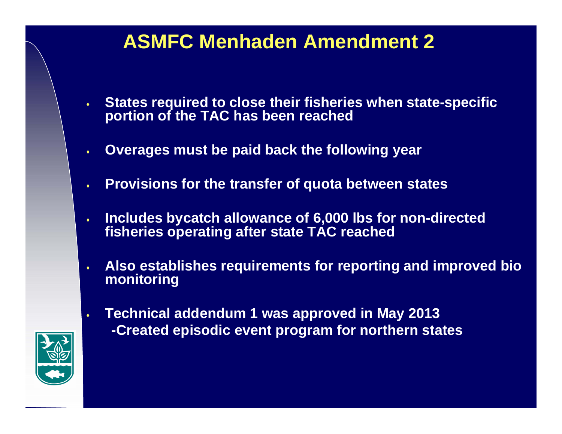- $\ddot{\bullet}$  **States required to close their fisheries when state-specific portion of the TAC has been reached**
- $\blacklozenge$ **Overages must be paid back the following year**
- $\ddot{\bullet}$ **Provisions for the transfer of quota between states**
- $\ddot{\bullet}$  **Includes bycatch allowance of 6,000 lbs for non-directed fisheries operating after state TAC reached**
- $\ddot{\bullet}$  **Also establishes requirements for reporting and improved bio monitoring**
- $\bullet$  **Technical addendum 1 was approved in May 2013**
	- **-Created episodic event program for northern states**

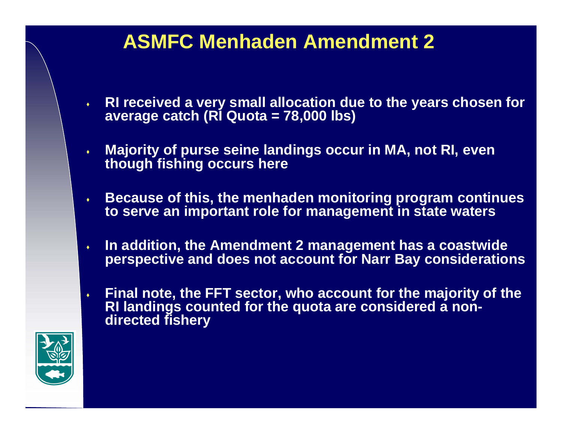- $\bullet$  . **RI received a very small allocation due to the years chosen for average catch (RI Quota = 78,000 lbs)**
- $\ddot{\bullet}$  **Majority of purse seine landings occur in MA, not RI, even though fishing occurs here**
- $\ddot{\bullet}$  **Because of this, the menhaden monitoring program continues to serve an important role for management in state waters**
- $\blacklozenge$  **In addition, the Amendment 2 management has a coastwide perspective and does not account for Narr Bay considerations**
- $\bullet$  **Final note, the FFT sector, who account for the majority of the RI landings counted for the quota are considered a nondirected fishery**

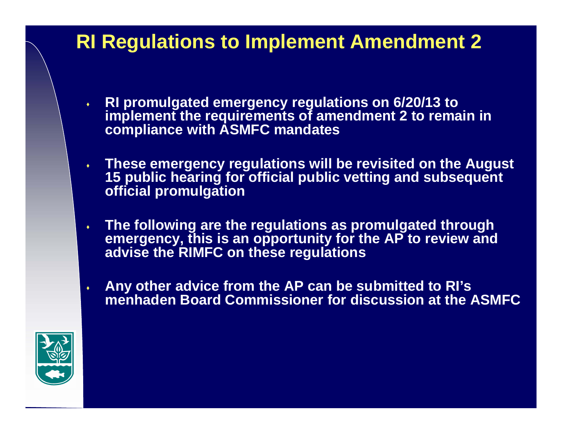- $\bullet$  **RI promulgated emergency regulations on 6/20/13 to implement the requirements of amendment 2 to remain in compliance with ASMFC mandates**
- **These emergency regulations will be revisited on the August 15 public hearing for official public vetting and subsequent official promulgation**
- $\bullet$  **The following are the regulations as promulgated through emergency, this is an opportunity for the AP to review and advise the RIMFC on these regulations**
- $\ddot{\bullet}$  **Any other advice from the AP can be submitted to RI's menhaden Board Commissioner for discussion at the ASMFC**

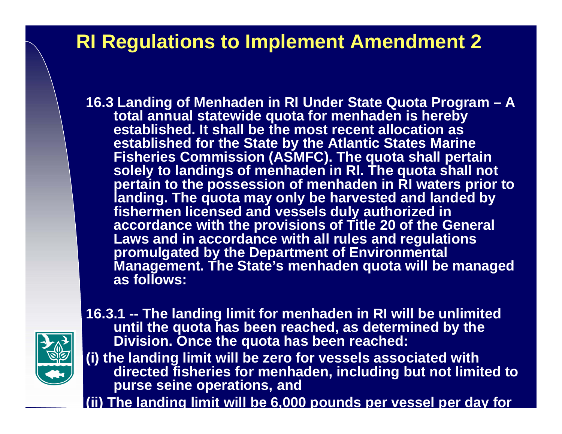**16.3 Landing of Menhaden in RI Under State Quota Program – A total annual statewide quota for menhaden is hereby established. It shall be the most recent allocation as established for the State by the Atlantic States Marine Fisheries Commission (ASMFC). The quota shall pertain**  solely to landings of menhaden in RI. The quota shall not **pertain to the possession of menhaden in RI waters prior to landing. The quota may only be harvested and landed by fishermen licensed and vessels duly authorized in accordance with the provisions of Title 20 of the General Laws and in accordance with all rules and regulations promulgated by the Department of Environmental Management. The State's menhaden quota will be managed as follows:**



**16.3.1 -- The landing limit for menhaden in RI will be unlimited until the quota has been reached, as determined by the Division. Once the quota has been reached:**

**(i) the landing limit will be zero for vessels associated with directed fisheries for menhaden, including but not limited to purse seine operations, and** 

**(ii ) The landin g limit will be 6,000 pounds per vessel per da y for**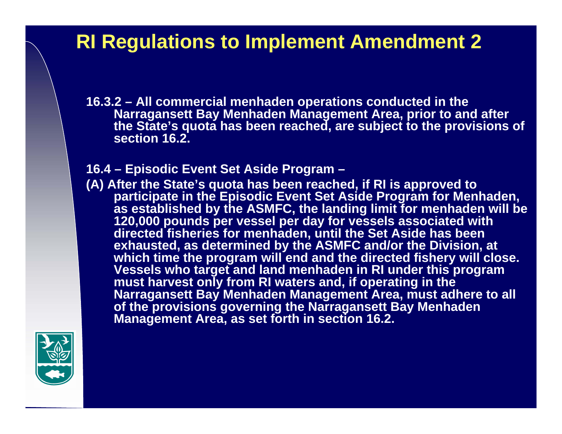**16.3.2 – All commercial menhaden operations conducted in the Narragansett Bay Menhaden Management Area, prior to and after the State's quota has been reached, are subject to the provisions of section 16.2.**

#### **16.4 – Episodic Event Set Aside Program –**

**(A) After the State's quota has been reached, if RI is approved to participate in the Episodic Event Set Aside Program for Menhaden, as established by the ASMFC, the landing limit for menhaden will be 120,000 pounds per vessel per day for vessels associated with directed fisheries for menhaden, until the Set Aside has been exhausted, as determined by the ASMFC and/or the Division, at**  which time the program will end and the directed fishery will close. **Vessels who target and land menhaden in RI under this program must harvest only from RI waters and, if operating in the Narragansett Bay Menhaden Management Area, must adhere to all of the provisions governing the Narragansett Bay Menhaden Management Area, as set forth in section 16.2.**

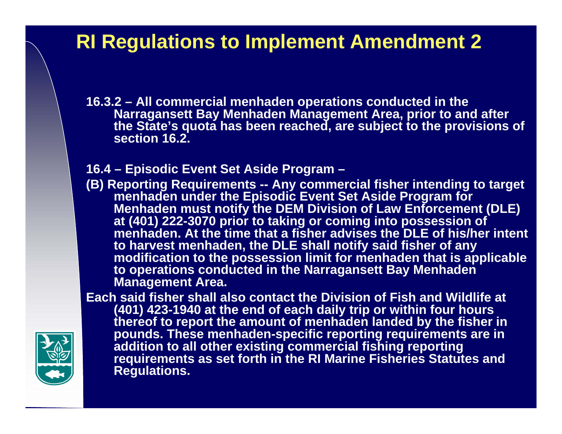**16.3.2 – All commercial menhaden operations conducted in the Narragansett Bay Menhaden Management Area, prior to and after the State's quota has been reached, are subject to the provisions of section 16.2.**

#### **16.4 – Episodic Event Set Aside Program –**

**(B) Reporting Requirements -- Any commercial fisher intending to target menhaden under the Episodic Event Set Aside Program for Menhaden must notify the DEM Division of Law Enforcement (DLE) at (401) 222-3070 prior to taking or coming into possession of menhaden. At the time that a fisher advises the DLE of his/her intent to harvest menhaden, the DLE shall notify said fisher of any modification to the possession limit for menhaden that is applicable to operations conducted in the Narragansett Bay Menhaden Management Area.**

**Each said fisher shall also contact the Division of Fish and Wildlife at (401) 423-1940 at the end of each daily trip or within four hours thereof to report the amount of menhaden landed by the fisher in pounds. These menhaden-specific reporting requirements are in addition to all other existing commercial fishing reporting requirements as set forth in the RI Marine Fisheries Statutes and Regulations.**